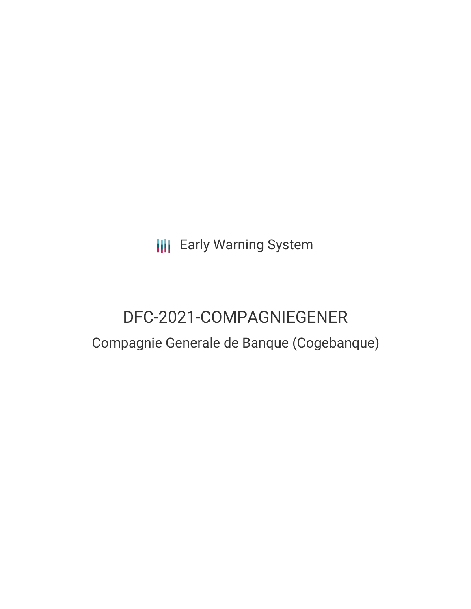**III** Early Warning System

# DFC-2021-COMPAGNIEGENER Compagnie Generale de Banque (Cogebanque)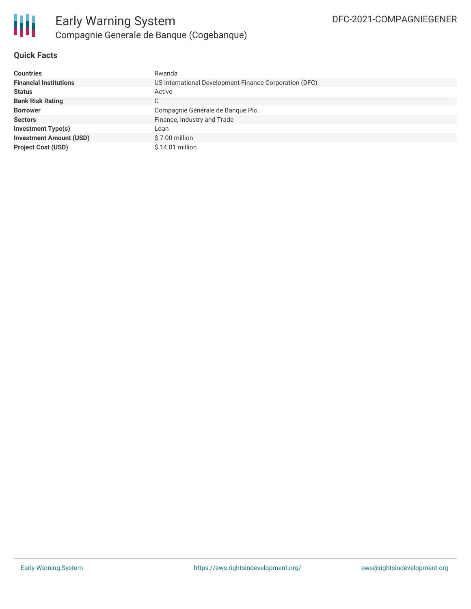

# **Quick Facts**

| <b>Countries</b>               | Rwanda                                                 |
|--------------------------------|--------------------------------------------------------|
| <b>Financial Institutions</b>  | US International Development Finance Corporation (DFC) |
| <b>Status</b>                  | Active                                                 |
| <b>Bank Risk Rating</b>        | С                                                      |
| <b>Borrower</b>                | Compagnie Générale de Banque Plc.                      |
| <b>Sectors</b>                 | Finance, Industry and Trade                            |
| Investment Type(s)             | Loan                                                   |
| <b>Investment Amount (USD)</b> | \$7.00 million                                         |
| <b>Project Cost (USD)</b>      | $$14.01$ million                                       |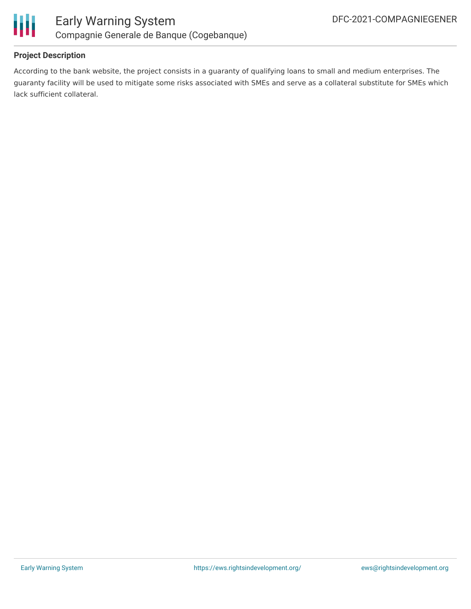

# **Project Description**

According to the bank website, the project consists in a guaranty of qualifying loans to small and medium enterprises. The guaranty facility will be used to mitigate some risks associated with SMEs and serve as a collateral substitute for SMEs which lack sufficient collateral.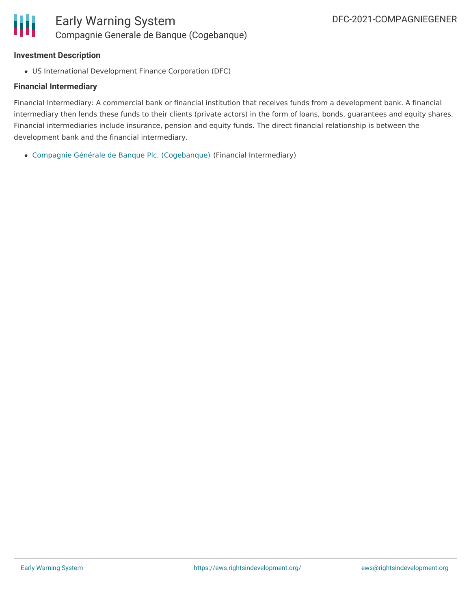

#### **Investment Description**

US International Development Finance Corporation (DFC)

#### **Financial Intermediary**

Financial Intermediary: A commercial bank or financial institution that receives funds from a development bank. A financial intermediary then lends these funds to their clients (private actors) in the form of loans, bonds, guarantees and equity shares. Financial intermediaries include insurance, pension and equity funds. The direct financial relationship is between the development bank and the financial intermediary.

Compagnie Générale de Banque Plc. [\(Cogebanque\)](file:///actor/7648/) (Financial Intermediary)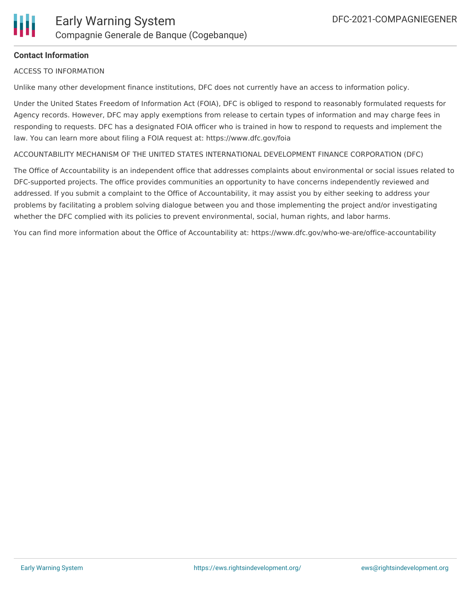### **Contact Information**

#### ACCESS TO INFORMATION

Unlike many other development finance institutions, DFC does not currently have an access to information policy.

Under the United States Freedom of Information Act (FOIA), DFC is obliged to respond to reasonably formulated requests for Agency records. However, DFC may apply exemptions from release to certain types of information and may charge fees in responding to requests. DFC has a designated FOIA officer who is trained in how to respond to requests and implement the law. You can learn more about filing a FOIA request at: https://www.dfc.gov/foia

ACCOUNTABILITY MECHANISM OF THE UNITED STATES INTERNATIONAL DEVELOPMENT FINANCE CORPORATION (DFC)

The Office of Accountability is an independent office that addresses complaints about environmental or social issues related to DFC-supported projects. The office provides communities an opportunity to have concerns independently reviewed and addressed. If you submit a complaint to the Office of Accountability, it may assist you by either seeking to address your problems by facilitating a problem solving dialogue between you and those implementing the project and/or investigating whether the DFC complied with its policies to prevent environmental, social, human rights, and labor harms.

You can find more information about the Office of Accountability at: https://www.dfc.gov/who-we-are/office-accountability